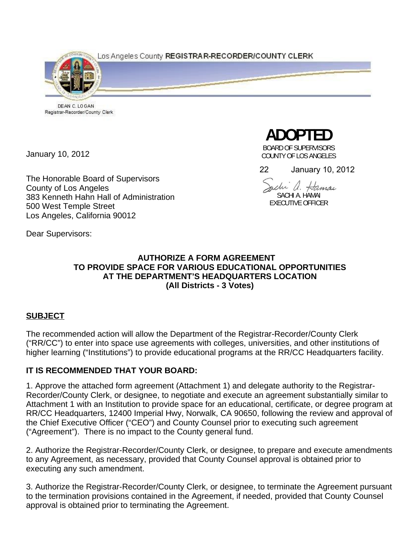Los Angeles County REGISTRAR-RECORDER/COUNTY CLERK



DEAN C. LOGAN Registrar-Recorder/County Clerk

January 10, 2012

The Honorable Board of Supervisors County of Los Angeles 383 Kenneth Hahn Hall of Administration 500 West Temple Street Los Angeles, California 90012

**ADOPTED** 

BOARD OF SUPERVISORS COUNTY OF LOS ANGELES

22 January 10, 2012

ache a. Hamai SACHI A. HAMAI EXECUTIVE OFFICER

Dear Supervisors:

## **AUTHORIZE A FORM AGREEMENT TO PROVIDE SPACE FOR VARIOUS EDUCATIONAL OPPORTUNITIES AT THE DEPARTMENT'S HEADQUARTERS LOCATION (All Districts - 3 Votes)**

# **SUBJECT**

The recommended action will allow the Department of the Registrar-Recorder/County Clerk ("RR/CC") to enter into space use agreements with colleges, universities, and other institutions of higher learning ("Institutions") to provide educational programs at the RR/CC Headquarters facility.

# **IT IS RECOMMENDED THAT YOUR BOARD:**

1. Approve the attached form agreement (Attachment 1) and delegate authority to the Registrar-Recorder/County Clerk, or designee, to negotiate and execute an agreement substantially similar to Attachment 1 with an Institution to provide space for an educational, certificate, or degree program at RR/CC Headquarters, 12400 Imperial Hwy, Norwalk, CA 90650, following the review and approval of the Chief Executive Officer ("CEO") and County Counsel prior to executing such agreement ("Agreement"). There is no impact to the County general fund.

2. Authorize the Registrar-Recorder/County Clerk, or designee, to prepare and execute amendments to any Agreement, as necessary, provided that County Counsel approval is obtained prior to executing any such amendment.

3. Authorize the Registrar-Recorder/County Clerk, or designee, to terminate the Agreement pursuant to the termination provisions contained in the Agreement, if needed, provided that County Counsel approval is obtained prior to terminating the Agreement.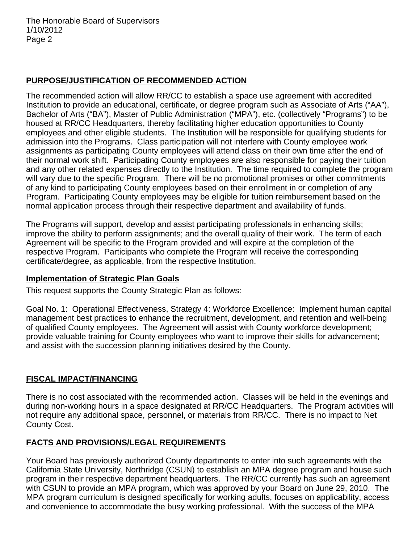# **PURPOSE/JUSTIFICATION OF RECOMMENDED ACTION**

The recommended action will allow RR/CC to establish a space use agreement with accredited Institution to provide an educational, certificate, or degree program such as Associate of Arts ("AA"), Bachelor of Arts ("BA"), Master of Public Administration ("MPA"), etc. (collectively "Programs") to be housed at RR/CC Headquarters, thereby facilitating higher education opportunities to County employees and other eligible students. The Institution will be responsible for qualifying students for admission into the Programs. Class participation will not interfere with County employee work assignments as participating County employees will attend class on their own time after the end of their normal work shift. Participating County employees are also responsible for paying their tuition and any other related expenses directly to the Institution. The time required to complete the program will vary due to the specific Program. There will be no promotional promises or other commitments of any kind to participating County employees based on their enrollment in or completion of any Program. Participating County employees may be eligible for tuition reimbursement based on the normal application process through their respective department and availability of funds.

The Programs will support, develop and assist participating professionals in enhancing skills; improve the ability to perform assignments; and the overall quality of their work. The term of each Agreement will be specific to the Program provided and will expire at the completion of the respective Program. Participants who complete the Program will receive the corresponding certificate/degree, as applicable, from the respective Institution.

#### **Implementation of Strategic Plan Goals**

This request supports the County Strategic Plan as follows:

Goal No. 1: Operational Effectiveness, Strategy 4: Workforce Excellence: Implement human capital management best practices to enhance the recruitment, development, and retention and well-being of qualified County employees. The Agreement will assist with County workforce development; provide valuable training for County employees who want to improve their skills for advancement; and assist with the succession planning initiatives desired by the County.

## **FISCAL IMPACT/FINANCING**

There is no cost associated with the recommended action. Classes will be held in the evenings and during non-working hours in a space designated at RR/CC Headquarters. The Program activities will not require any additional space, personnel, or materials from RR/CC. There is no impact to Net County Cost.

## **FACTS AND PROVISIONS/LEGAL REQUIREMENTS**

Your Board has previously authorized County departments to enter into such agreements with the California State University, Northridge (CSUN) to establish an MPA degree program and house such program in their respective department headquarters. The RR/CC currently has such an agreement with CSUN to provide an MPA program, which was approved by your Board on June 29, 2010. The MPA program curriculum is designed specifically for working adults, focuses on applicability, access and convenience to accommodate the busy working professional. With the success of the MPA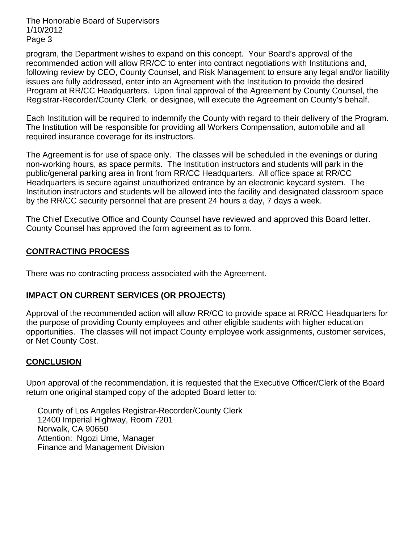The Honorable Board of Supervisors 1/10/2012 Page 3

program, the Department wishes to expand on this concept. Your Board's approval of the recommended action will allow RR/CC to enter into contract negotiations with Institutions and, following review by CEO, County Counsel, and Risk Management to ensure any legal and/or liability issues are fully addressed, enter into an Agreement with the Institution to provide the desired Program at RR/CC Headquarters. Upon final approval of the Agreement by County Counsel, the Registrar-Recorder/County Clerk, or designee, will execute the Agreement on County's behalf.

Each Institution will be required to indemnify the County with regard to their delivery of the Program. The Institution will be responsible for providing all Workers Compensation, automobile and all required insurance coverage for its instructors.

The Agreement is for use of space only. The classes will be scheduled in the evenings or during non-working hours, as space permits. The Institution instructors and students will park in the public/general parking area in front from RR/CC Headquarters. All office space at RR/CC Headquarters is secure against unauthorized entrance by an electronic keycard system. The Institution instructors and students will be allowed into the facility and designated classroom space by the RR/CC security personnel that are present 24 hours a day, 7 days a week.

The Chief Executive Office and County Counsel have reviewed and approved this Board letter. County Counsel has approved the form agreement as to form.

## **CONTRACTING PROCESS**

There was no contracting process associated with the Agreement.

## **IMPACT ON CURRENT SERVICES (OR PROJECTS)**

Approval of the recommended action will allow RR/CC to provide space at RR/CC Headquarters for the purpose of providing County employees and other eligible students with higher education opportunities. The classes will not impact County employee work assignments, customer services, or Net County Cost.

#### **CONCLUSION**

Upon approval of the recommendation, it is requested that the Executive Officer/Clerk of the Board return one original stamped copy of the adopted Board letter to:

 County of Los Angeles Registrar-Recorder/County Clerk 12400 Imperial Highway, Room 7201 Norwalk, CA 90650 Attention: Ngozi Ume, Manager Finance and Management Division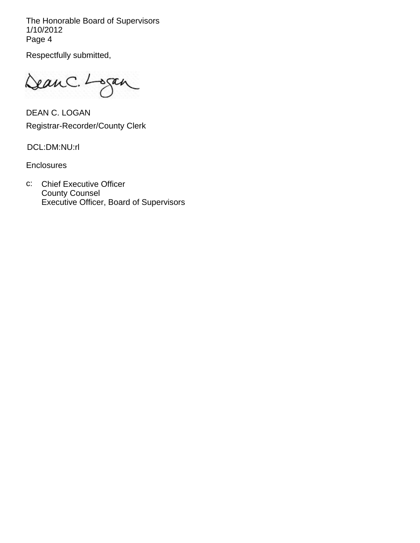The Honorable Board of Supervisors 1/10/2012 Page 4

Respectfully submitted,

DeanC. Logan

DEAN C. LOGAN Registrar-Recorder/County Clerk

DCL:DM:NU:rl

**Enclosures** 

c: Chief Executive Officer County Counsel Executive Officer, Board of Supervisors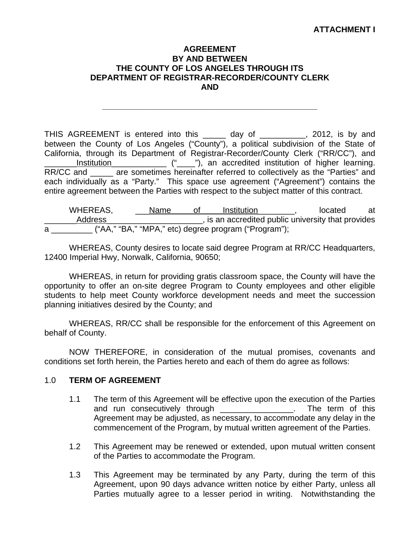### **ATTACHMENT I**

#### **AGREEMENT BY AND BETWEEN THE COUNTY OF LOS ANGELES THROUGH ITS DEPARTMENT OF REGISTRAR-RECORDER/COUNTY CLERK AND**

**\_\_\_\_\_\_\_\_\_\_\_\_\_\_\_\_\_\_\_\_\_\_\_\_\_\_\_\_\_\_\_\_\_\_\_\_\_\_\_\_\_\_\_\_\_\_\_** 

THIS AGREEMENT is entered into this \_\_\_\_\_ day of \_\_\_\_\_\_\_\_\_, 2012, is by and between the County of Los Angeles ("County"), a political subdivision of the State of California, through its Department of Registrar-Recorder/County Clerk ("RR/CC"), and Institution \_\_\_\_\_\_\_\_\_\_\_\_ ("\_\_\_\_"), an accredited institution of higher learning. RR/CC and are sometimes hereinafter referred to collectively as the "Parties" and each individually as a "Party." This space use agreement ("Agreement") contains the entire agreement between the Parties with respect to the subject matter of this contract.

WHEREAS, <u>Name of Institution</u>, located at Address **Address Address EXECUTE:** Address **Address EXECUTE:** And **EXECUTE:** And **EXECUTE:** And **EXECUTE:** And **EXECUTE:** And **EXECUTE:** And **EXECUTE:** And **EXECUTE:** And **EXECUTE:** And **EXECUTE:** And **EXECUTE:** And a \_\_\_\_\_\_\_\_\_ ("AA," "BA," "MPA," etc) degree program ("Program");

WHEREAS, County desires to locate said degree Program at RR/CC Headquarters, 12400 Imperial Hwy, Norwalk, California, 90650;

WHEREAS, in return for providing gratis classroom space, the County will have the opportunity to offer an on-site degree Program to County employees and other eligible students to help meet County workforce development needs and meet the succession planning initiatives desired by the County; and

WHEREAS, RR/CC shall be responsible for the enforcement of this Agreement on behalf of County.

NOW THEREFORE, in consideration of the mutual promises, covenants and conditions set forth herein, the Parties hereto and each of them do agree as follows:

#### 1.0 **TERM OF AGREEMENT**

- 1.1 The term of this Agreement will be effective upon the execution of the Parties and run consecutively through \_\_\_\_\_\_\_\_\_\_\_\_\_\_\_\_. The term of this Agreement may be adjusted, as necessary, to accommodate any delay in the commencement of the Program, by mutual written agreement of the Parties.
- 1.2 This Agreement may be renewed or extended, upon mutual written consent of the Parties to accommodate the Program.
- 1.3 This Agreement may be terminated by any Party, during the term of this Agreement, upon 90 days advance written notice by either Party, unless all Parties mutually agree to a lesser period in writing. Notwithstanding the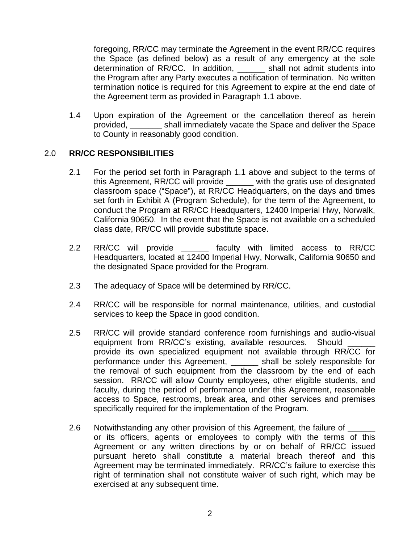foregoing, RR/CC may terminate the Agreement in the event RR/CC requires the Space (as defined below) as a result of any emergency at the sole determination of RR/CC. In addition, \_\_\_\_\_\_ shall not admit students into the Program after any Party executes a notification of termination. No written termination notice is required for this Agreement to expire at the end date of the Agreement term as provided in Paragraph 1.1 above.

1.4 Upon expiration of the Agreement or the cancellation thereof as herein provided, \_\_\_\_\_\_\_ shall immediately vacate the Space and deliver the Space to County in reasonably good condition.

#### 2.0 **RR/CC RESPONSIBILITIES**

- 2.1 For the period set forth in Paragraph 1.1 above and subject to the terms of this Agreement, RR/CC will provide \_\_\_\_\_\_ with the gratis use of designated classroom space ("Space"), at RR/CC Headquarters, on the days and times set forth in Exhibit A (Program Schedule), for the term of the Agreement, to conduct the Program at RR/CC Headquarters, 12400 Imperial Hwy, Norwalk, California 90650. In the event that the Space is not available on a scheduled class date, RR/CC will provide substitute space.
- 2.2 RR/CC will provide \_\_\_\_\_\_ faculty with limited access to RR/CC Headquarters, located at 12400 Imperial Hwy, Norwalk, California 90650 and the designated Space provided for the Program.
- 2.3 The adequacy of Space will be determined by RR/CC.
- 2.4 RR/CC will be responsible for normal maintenance, utilities, and custodial services to keep the Space in good condition.
- 2.5 RR/CC will provide standard conference room furnishings and audio-visual equipment from RR/CC's existing, available resources. Should provide its own specialized equipment not available through RR/CC for performance under this Agreement, \_\_\_\_\_\_ shall be solely responsible for the removal of such equipment from the classroom by the end of each session. RR/CC will allow County employees, other eligible students, and faculty, during the period of performance under this Agreement, reasonable access to Space, restrooms, break area, and other services and premises specifically required for the implementation of the Program.
- 2.6 Notwithstanding any other provision of this Agreement, the failure of or its officers, agents or employees to comply with the terms of this Agreement or any written directions by or on behalf of RR/CC issued pursuant hereto shall constitute a material breach thereof and this Agreement may be terminated immediately. RR/CC's failure to exercise this right of termination shall not constitute waiver of such right, which may be exercised at any subsequent time.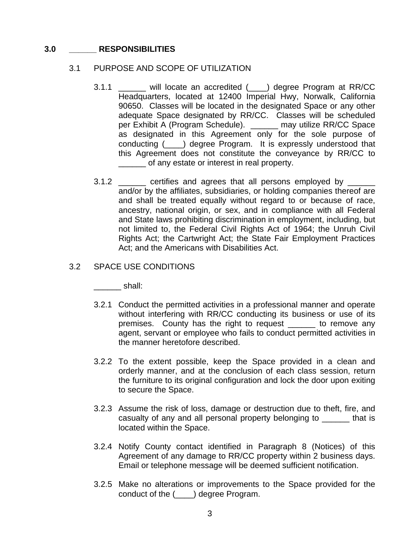#### **3.0 \_\_\_\_\_\_ RESPONSIBILITIES**

#### 3.1 PURPOSE AND SCOPE OF UTILIZATION

- 3.1.1 will locate an accredited () degree Program at RR/CC Headquarters, located at 12400 Imperial Hwy, Norwalk, California 90650. Classes will be located in the designated Space or any other adequate Space designated by RR/CC. Classes will be scheduled per Exhibit A (Program Schedule). \_\_\_\_\_\_ may utilize RR/CC Space as designated in this Agreement only for the sole purpose of conducting (\_\_\_\_) degree Program. It is expressly understood that this Agreement does not constitute the conveyance by RR/CC to of any estate or interest in real property.
- 3.1.2 certifies and agrees that all persons employed by and/or by the affiliates, subsidiaries, or holding companies thereof are and shall be treated equally without regard to or because of race, ancestry, national origin, or sex, and in compliance with all Federal and State laws prohibiting discrimination in employment, including, but not limited to, the Federal Civil Rights Act of 1964; the Unruh Civil Rights Act; the Cartwright Act; the State Fair Employment Practices Act; and the Americans with Disabilities Act.

#### 3.2 SPACE USE CONDITIONS

 $\blacksquare$  shall:

- 3.2.1 Conduct the permitted activities in a professional manner and operate without interfering with RR/CC conducting its business or use of its premises. County has the right to request \_\_\_\_\_\_ to remove any agent, servant or employee who fails to conduct permitted activities in the manner heretofore described.
- 3.2.2 To the extent possible, keep the Space provided in a clean and orderly manner, and at the conclusion of each class session, return the furniture to its original configuration and lock the door upon exiting to secure the Space.
- 3.2.3 Assume the risk of loss, damage or destruction due to theft, fire, and casualty of any and all personal property belonging to \_\_\_\_\_\_ that is located within the Space.
- 3.2.4 Notify County contact identified in Paragraph 8 (Notices) of this Agreement of any damage to RR/CC property within 2 business days. Email or telephone message will be deemed sufficient notification.
- 3.2.5 Make no alterations or improvements to the Space provided for the conduct of the (\_\_\_\_) degree Program.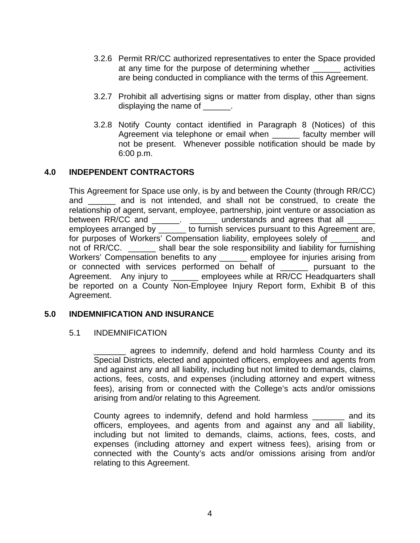- 3.2.6 Permit RR/CC authorized representatives to enter the Space provided at any time for the purpose of determining whether exactivities are being conducted in compliance with the terms of this Agreement.
- 3.2.7 Prohibit all advertising signs or matter from display, other than signs displaying the name of \_\_\_\_\_\_.
- 3.2.8 Notify County contact identified in Paragraph 8 (Notices) of this Agreement via telephone or email when \_\_\_\_\_\_ faculty member will not be present. Whenever possible notification should be made by 6:00 p.m.

## **4.0 INDEPENDENT CONTRACTORS**

This Agreement for Space use only, is by and between the County (through RR/CC) and \_\_\_\_\_\_ and is not intended, and shall not be construed, to create the relationship of agent, servant, employee, partnership, joint venture or association as between RR/CC and \_\_\_\_\_\_. \_\_\_\_\_\_ understands and agrees that all \_\_\_\_\_\_ employees arranged by  $\overline{a}$  to furnish services pursuant to this Agreement are, for purposes of Workers' Compensation liability, employees solely of and not of RR/CC. \_\_\_\_\_\_ shall bear the sole responsibility and liability for furnishing Workers' Compensation benefits to any \_\_\_\_\_\_ employee for injuries arising from or connected with services performed on behalf of \_\_\_\_\_\_ pursuant to the Agreement. Any injury to \_\_\_\_\_\_ employees while at RR/CC Headquarters shall be reported on a County Non-Employee Injury Report form, Exhibit B of this Agreement.

#### **5.0 INDEMNIFICATION AND INSURANCE**

#### 5.1 INDEMNIFICATION

agrees to indemnify, defend and hold harmless County and its Special Districts, elected and appointed officers, employees and agents from and against any and all liability, including but not limited to demands, claims, actions, fees, costs, and expenses (including attorney and expert witness fees), arising from or connected with the College's acts and/or omissions arising from and/or relating to this Agreement.

 County agrees to indemnify, defend and hold harmless \_\_\_\_\_\_\_ and its officers, employees, and agents from and against any and all liability, including but not limited to demands, claims, actions, fees, costs, and expenses (including attorney and expert witness fees), arising from or connected with the County's acts and/or omissions arising from and/or relating to this Agreement.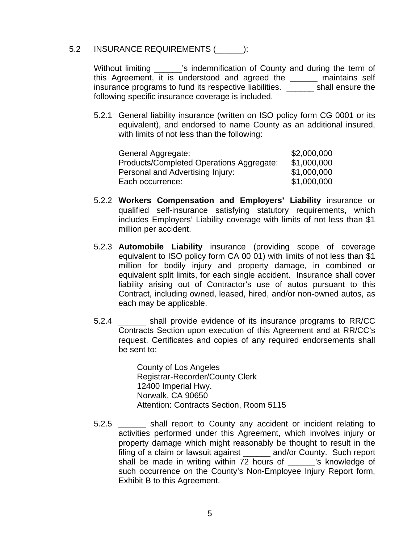#### 5.2 INSURANCE REQUIREMENTS (  $\qquad$  ):

Without limiting **Example 18 indemnification of County and during the term of** this Agreement, it is understood and agreed the  $\_\_\_\_\_$  maintains self insurance programs to fund its respective liabilities. \_\_\_\_\_\_ shall ensure the following specific insurance coverage is included.

5.2.1 General liability insurance (written on ISO policy form CG 0001 or its equivalent), and endorsed to name County as an additional insured, with limits of not less than the following:

| General Aggregate:                       | \$2,000,000 |
|------------------------------------------|-------------|
| Products/Completed Operations Aggregate: | \$1,000,000 |
| Personal and Advertising Injury:         | \$1,000,000 |
| Each occurrence:                         | \$1,000,000 |

- 5.2.2 **Workers Compensation and Employers' Liability** insurance or qualified self-insurance satisfying statutory requirements, which includes Employers' Liability coverage with limits of not less than \$1 million per accident.
- 5.2.3 **Automobile Liability** insurance (providing scope of coverage equivalent to ISO policy form CA 00 01) with limits of not less than \$1 million for bodily injury and property damage, in combined or equivalent split limits, for each single accident. Insurance shall cover liability arising out of Contractor's use of autos pursuant to this Contract, including owned, leased, hired, and/or non-owned autos, as each may be applicable.
- 5.2.4 \_\_\_\_\_\_ shall provide evidence of its insurance programs to RR/CC Contracts Section upon execution of this Agreement and at RR/CC's request. Certificates and copies of any required endorsements shall be sent to:

County of Los Angeles Registrar-Recorder/County Clerk 12400 Imperial Hwy. Norwalk, CA 90650 Attention: Contracts Section, Room 5115

5.2.5 \_\_\_\_\_\_ shall report to County any accident or incident relating to activities performed under this Agreement, which involves injury or property damage which might reasonably be thought to result in the filing of a claim or lawsuit against \_\_\_\_\_\_ and/or County. Such report shall be made in writing within 72 hours of \_\_\_\_\_\_'s knowledge of such occurrence on the County's Non-Employee Injury Report form, Exhibit B to this Agreement.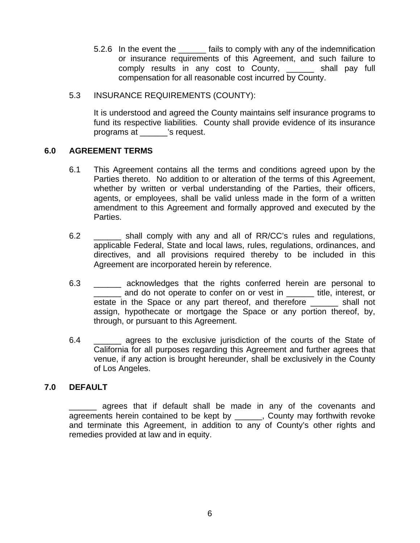- 5.2.6 In the event the stails to comply with any of the indemnification or insurance requirements of this Agreement, and such failure to comply results in any cost to County, \_\_\_\_\_\_ shall pay full compensation for all reasonable cost incurred by County.
- 5.3 INSURANCE REQUIREMENTS (COUNTY):

It is understood and agreed the County maintains self insurance programs to fund its respective liabilities. County shall provide evidence of its insurance programs at \_\_\_\_\_\_'s request.

#### **6.0 AGREEMENT TERMS**

- 6.1 This Agreement contains all the terms and conditions agreed upon by the Parties thereto. No addition to or alteration of the terms of this Agreement, whether by written or verbal understanding of the Parties, their officers, agents, or employees, shall be valid unless made in the form of a written amendment to this Agreement and formally approved and executed by the Parties.
- 6.2 \_\_\_\_\_\_ shall comply with any and all of RR/CC's rules and regulations, applicable Federal, State and local laws, rules, regulations, ordinances, and directives, and all provisions required thereby to be included in this Agreement are incorporated herein by reference.
- 6.3 \_\_\_\_\_\_ acknowledges that the rights conferred herein are personal to \_\_\_\_\_\_ and do not operate to confer on or vest in \_\_\_\_\_\_ title, interest, or estate in the Space or any part thereof, and therefore shall not assign, hypothecate or mortgage the Space or any portion thereof, by, through, or pursuant to this Agreement.
- 6.4 \_\_\_\_\_\_ agrees to the exclusive jurisdiction of the courts of the State of California for all purposes regarding this Agreement and further agrees that venue, if any action is brought hereunder, shall be exclusively in the County of Los Angeles.

## **7.0 DEFAULT**

\_\_\_\_\_\_ agrees that if default shall be made in any of the covenants and agreements herein contained to be kept by \_\_\_\_\_\_, County may forthwith revoke and terminate this Agreement, in addition to any of County's other rights and remedies provided at law and in equity.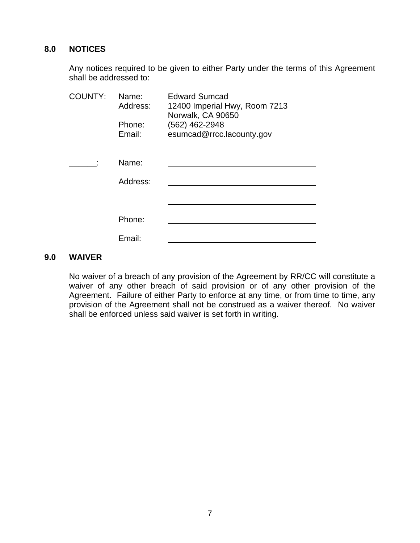## **8.0 NOTICES**

 Any notices required to be given to either Party under the terms of this Agreement shall be addressed to:

| <b>COUNTY:</b> | Name:<br>Address:<br>Phone:<br>Email: | <b>Edward Sumcad</b><br>12400 Imperial Hwy, Room 7213<br>Norwalk, CA 90650<br>(562) 462-2948<br>esumcad@rrcc.lacounty.gov |
|----------------|---------------------------------------|---------------------------------------------------------------------------------------------------------------------------|
|                | Name:<br>Address:                     |                                                                                                                           |
|                | Phone:<br>Email:                      |                                                                                                                           |

## **9.0 WAIVER**

No waiver of a breach of any provision of the Agreement by RR/CC will constitute a waiver of any other breach of said provision or of any other provision of the Agreement. Failure of either Party to enforce at any time, or from time to time, any provision of the Agreement shall not be construed as a waiver thereof. No waiver shall be enforced unless said waiver is set forth in writing.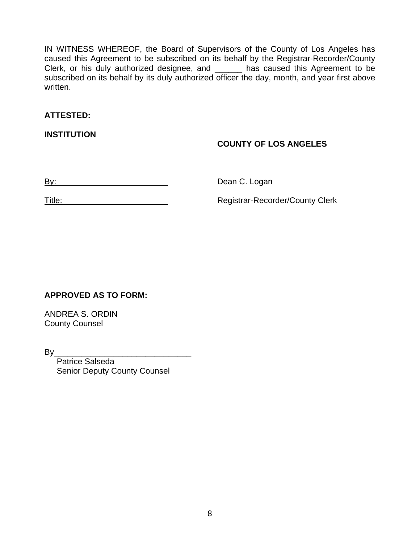IN WITNESS WHEREOF, the Board of Supervisors of the County of Los Angeles has caused this Agreement to be subscribed on its behalf by the Registrar-Recorder/County Clerk, or his duly authorized designee, and \_\_\_\_\_\_ has caused this Agreement to be subscribed on its behalf by its duly authorized officer the day, month, and year first above written.

## **ATTESTED:**

**INSTITUTION** 

## **COUNTY OF LOS ANGELES**

By: \_\_\_ \_\_\_\_\_\_\_\_\_\_\_\_\_ Dean C. Logan

Title: \_\_\_\_\_\_\_\_ \_\_\_\_\_\_\_\_\_\_\_\_\_\_ Registrar-Recorder/County Clerk

# **APPROVED AS TO FORM:**

ANDREA S. ORDIN County Counsel

By\_\_\_\_\_\_\_\_\_\_\_\_\_\_\_\_\_\_\_\_\_\_\_\_\_\_\_\_\_\_

 Patrice Salseda Senior Deputy County Counsel